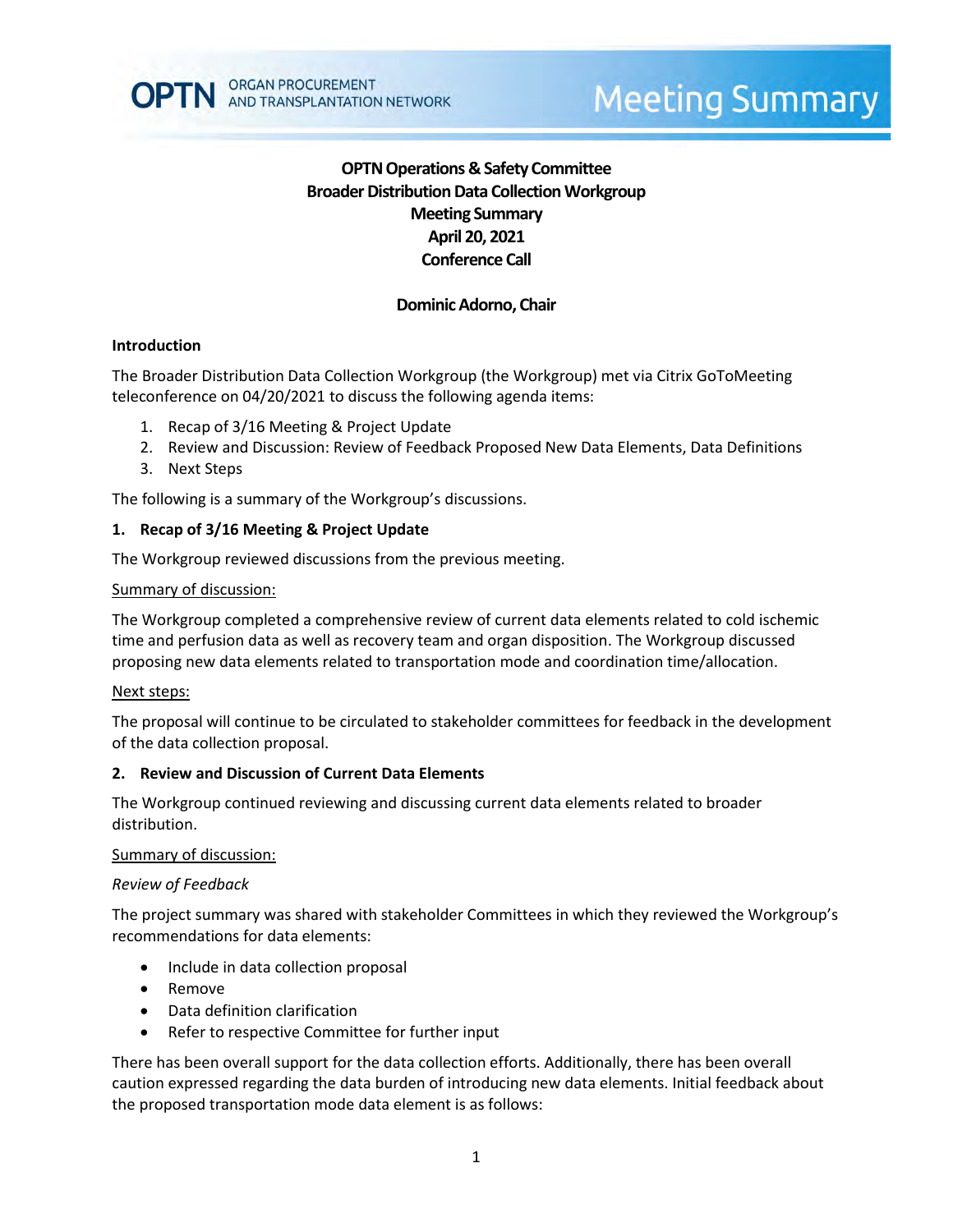# **OPTN Operations & Safety Committee Broader Distribution Data Collection Workgroup Meeting Summary April 20, 2021 Conference Call**

# **Dominic Adorno, Chair**

## **Introduction**

The Broader Distribution Data Collection Workgroup (the Workgroup) met via Citrix GoToMeeting teleconference on 04/20/2021 to discuss the following agenda items:

- 1. Recap of 3/16 Meeting & Project Update
- 2. Review and Discussion: Review of Feedback Proposed New Data Elements, Data Definitions
- 3. Next Steps

The following is a summary of the Workgroup's discussions.

## **1. Recap of 3/16 Meeting & Project Update**

The Workgroup reviewed discussions from the previous meeting.

### Summary of discussion:

The Workgroup completed a comprehensive review of current data elements related to cold ischemic time and perfusion data as well as recovery team and organ disposition. The Workgroup discussed proposing new data elements related to transportation mode and coordination time/allocation.

### Next steps:

The proposal will continue to be circulated to stakeholder committees for feedback in the development of the data collection proposal.

### **2. Review and Discussion of Current Data Elements**

The Workgroup continued reviewing and discussing current data elements related to broader distribution.

### Summary of discussion:

### *Review of Feedback*

The project summary was shared with stakeholder Committees in which they reviewed the Workgroup's recommendations for data elements:

- Include in data collection proposal
- Remove
- Data definition clarification
- Refer to respective Committee for further input

There has been overall support for the data collection efforts. Additionally, there has been overall caution expressed regarding the data burden of introducing new data elements. Initial feedback about the proposed transportation mode data element is as follows: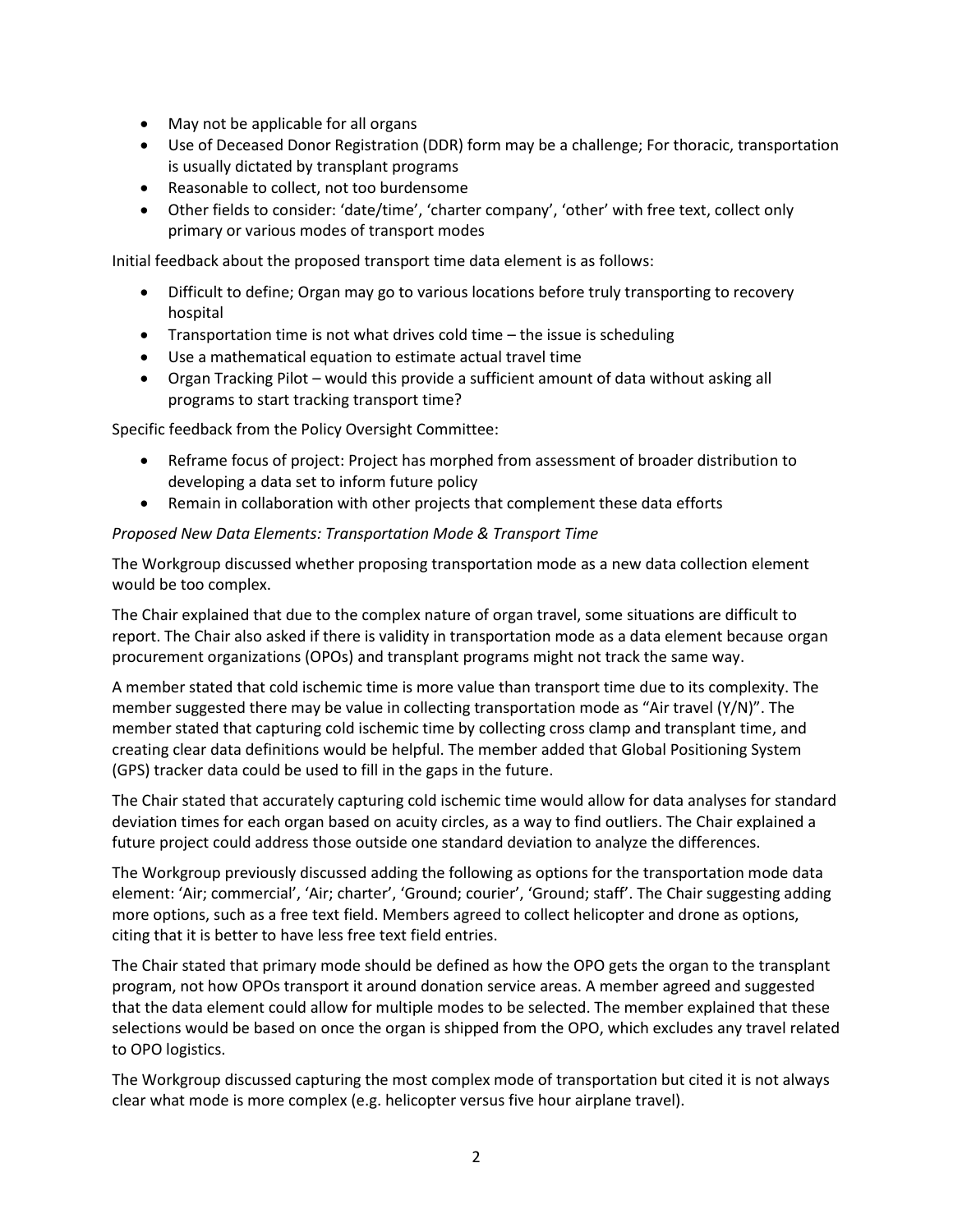- May not be applicable for all organs
- Use of Deceased Donor Registration (DDR) form may be a challenge; For thoracic, transportation is usually dictated by transplant programs
- Reasonable to collect, not too burdensome
- Other fields to consider: 'date/time', 'charter company', 'other' with free text, collect only primary or various modes of transport modes

Initial feedback about the proposed transport time data element is as follows:

- Difficult to define; Organ may go to various locations before truly transporting to recovery hospital
- Transportation time is not what drives cold time the issue is scheduling
- Use a mathematical equation to estimate actual travel time
- Organ Tracking Pilot would this provide a sufficient amount of data without asking all programs to start tracking transport time?

Specific feedback from the Policy Oversight Committee:

- Reframe focus of project: Project has morphed from assessment of broader distribution to developing a data set to inform future policy
- Remain in collaboration with other projects that complement these data efforts

### *Proposed New Data Elements: Transportation Mode & Transport Time*

The Workgroup discussed whether proposing transportation mode as a new data collection element would be too complex.

The Chair explained that due to the complex nature of organ travel, some situations are difficult to report. The Chair also asked if there is validity in transportation mode as a data element because organ procurement organizations (OPOs) and transplant programs might not track the same way.

A member stated that cold ischemic time is more value than transport time due to its complexity. The member suggested there may be value in collecting transportation mode as "Air travel (Y/N)". The member stated that capturing cold ischemic time by collecting cross clamp and transplant time, and creating clear data definitions would be helpful. The member added that Global Positioning System (GPS) tracker data could be used to fill in the gaps in the future.

The Chair stated that accurately capturing cold ischemic time would allow for data analyses for standard deviation times for each organ based on acuity circles, as a way to find outliers. The Chair explained a future project could address those outside one standard deviation to analyze the differences.

The Workgroup previously discussed adding the following as options for the transportation mode data element: 'Air; commercial', 'Air; charter', 'Ground; courier', 'Ground; staff'. The Chair suggesting adding more options, such as a free text field. Members agreed to collect helicopter and drone as options, citing that it is better to have less free text field entries.

The Chair stated that primary mode should be defined as how the OPO gets the organ to the transplant program, not how OPOs transport it around donation service areas. A member agreed and suggested that the data element could allow for multiple modes to be selected. The member explained that these selections would be based on once the organ is shipped from the OPO, which excludes any travel related to OPO logistics.

The Workgroup discussed capturing the most complex mode of transportation but cited it is not always clear what mode is more complex (e.g. helicopter versus five hour airplane travel).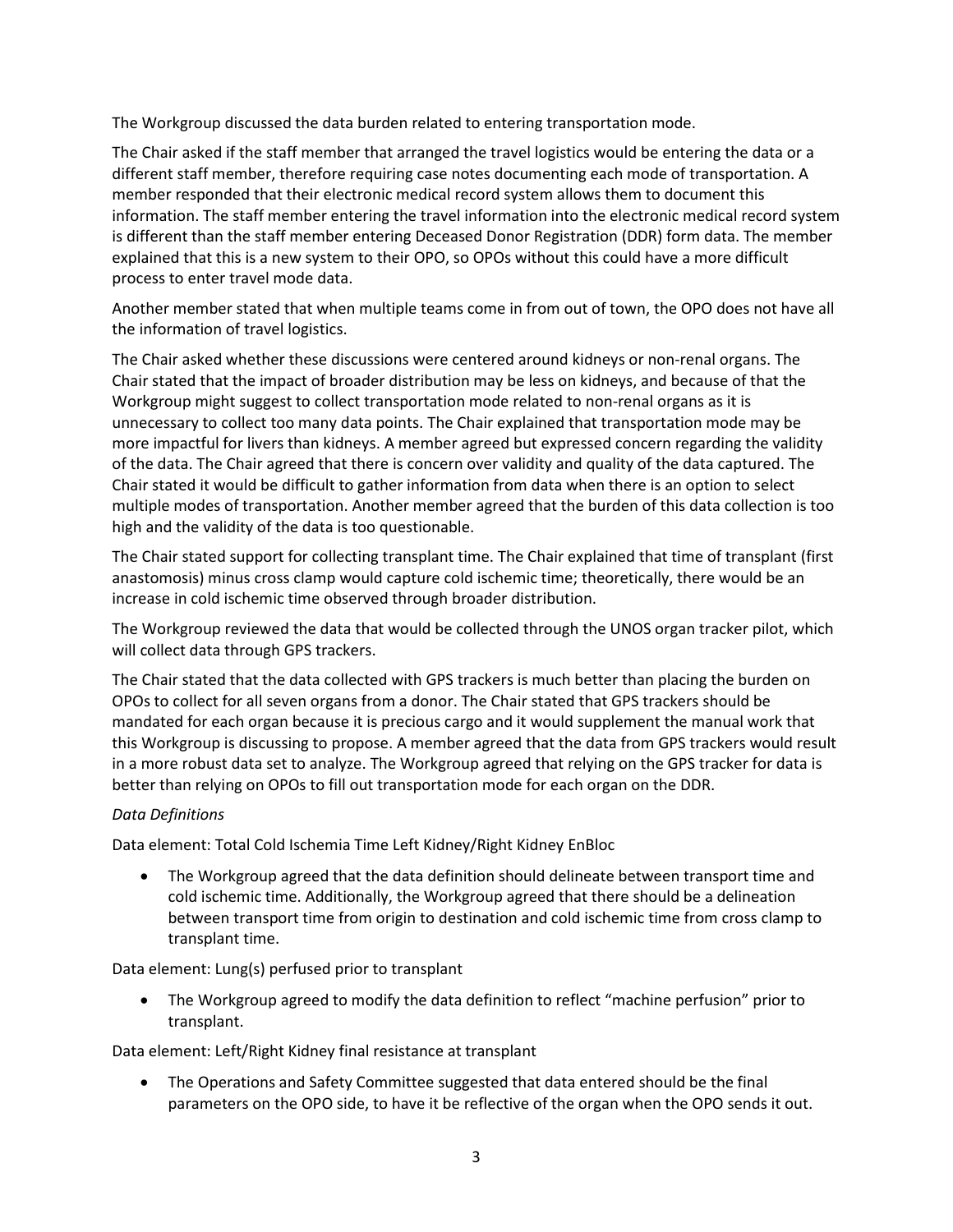The Workgroup discussed the data burden related to entering transportation mode.

The Chair asked if the staff member that arranged the travel logistics would be entering the data or a different staff member, therefore requiring case notes documenting each mode of transportation. A member responded that their electronic medical record system allows them to document this information. The staff member entering the travel information into the electronic medical record system is different than the staff member entering Deceased Donor Registration (DDR) form data. The member explained that this is a new system to their OPO, so OPOs without this could have a more difficult process to enter travel mode data.

Another member stated that when multiple teams come in from out of town, the OPO does not have all the information of travel logistics.

The Chair asked whether these discussions were centered around kidneys or non-renal organs. The Chair stated that the impact of broader distribution may be less on kidneys, and because of that the Workgroup might suggest to collect transportation mode related to non-renal organs as it is unnecessary to collect too many data points. The Chair explained that transportation mode may be more impactful for livers than kidneys. A member agreed but expressed concern regarding the validity of the data. The Chair agreed that there is concern over validity and quality of the data captured. The Chair stated it would be difficult to gather information from data when there is an option to select multiple modes of transportation. Another member agreed that the burden of this data collection is too high and the validity of the data is too questionable.

The Chair stated support for collecting transplant time. The Chair explained that time of transplant (first anastomosis) minus cross clamp would capture cold ischemic time; theoretically, there would be an increase in cold ischemic time observed through broader distribution.

The Workgroup reviewed the data that would be collected through the UNOS organ tracker pilot, which will collect data through GPS trackers.

The Chair stated that the data collected with GPS trackers is much better than placing the burden on OPOs to collect for all seven organs from a donor. The Chair stated that GPS trackers should be mandated for each organ because it is precious cargo and it would supplement the manual work that this Workgroup is discussing to propose. A member agreed that the data from GPS trackers would result in a more robust data set to analyze. The Workgroup agreed that relying on the GPS tracker for data is better than relying on OPOs to fill out transportation mode for each organ on the DDR.

### *Data Definitions*

Data element: Total Cold Ischemia Time Left Kidney/Right Kidney EnBloc

 The Workgroup agreed that the data definition should delineate between transport time and cold ischemic time. Additionally, the Workgroup agreed that there should be a delineation between transport time from origin to destination and cold ischemic time from cross clamp to transplant time.

Data element: Lung(s) perfused prior to transplant

 The Workgroup agreed to modify the data definition to reflect "machine perfusion" prior to transplant.

Data element: Left/Right Kidney final resistance at transplant

 The Operations and Safety Committee suggested that data entered should be the final parameters on the OPO side, to have it be reflective of the organ when the OPO sends it out.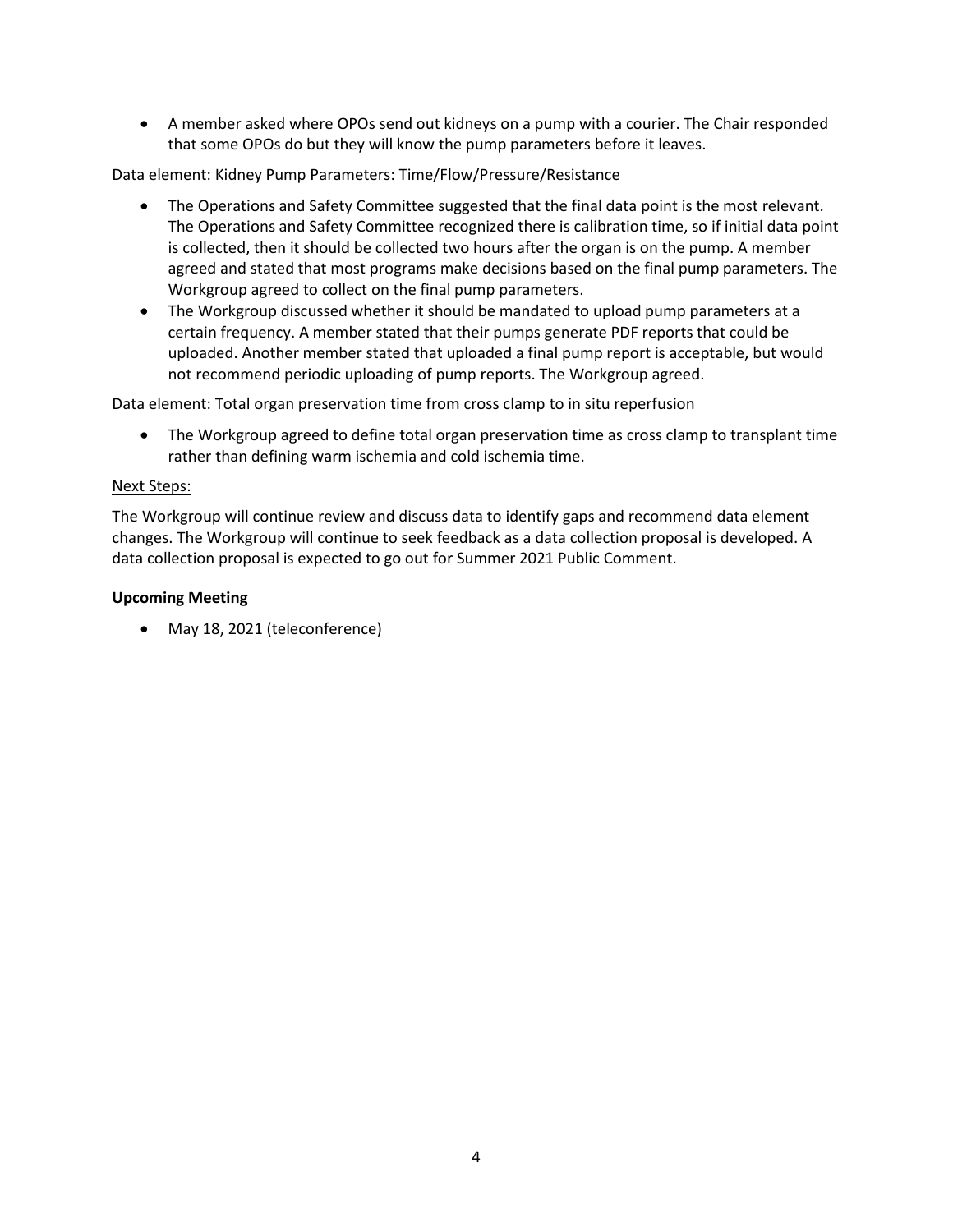A member asked where OPOs send out kidneys on a pump with a courier. The Chair responded that some OPOs do but they will know the pump parameters before it leaves.

Data element: Kidney Pump Parameters: Time/Flow/Pressure/Resistance

- The Operations and Safety Committee suggested that the final data point is the most relevant. The Operations and Safety Committee recognized there is calibration time, so if initial data point is collected, then it should be collected two hours after the organ is on the pump. A member agreed and stated that most programs make decisions based on the final pump parameters. The Workgroup agreed to collect on the final pump parameters.
- The Workgroup discussed whether it should be mandated to upload pump parameters at a certain frequency. A member stated that their pumps generate PDF reports that could be uploaded. Another member stated that uploaded a final pump report is acceptable, but would not recommend periodic uploading of pump reports. The Workgroup agreed.

Data element: Total organ preservation time from cross clamp to in situ reperfusion

• The Workgroup agreed to define total organ preservation time as cross clamp to transplant time rather than defining warm ischemia and cold ischemia time.

#### Next Steps:

The Workgroup will continue review and discuss data to identify gaps and recommend data element changes. The Workgroup will continue to seek feedback as a data collection proposal is developed. A data collection proposal is expected to go out for Summer 2021 Public Comment.

#### **Upcoming Meeting**

May 18, 2021 (teleconference)